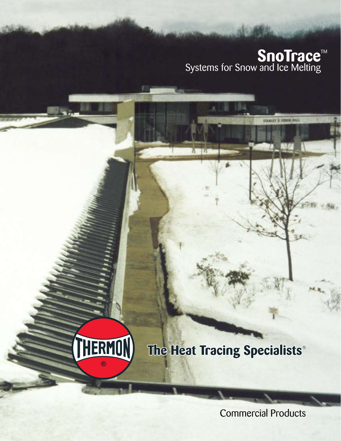## **SnoTrace™** Systems for Snow and Ice Melting

UTAMLEY IS FIRSTED HALL

副 一日のよ

κ

# The Heat Tracing Specialists®

HERMON

Commercial Products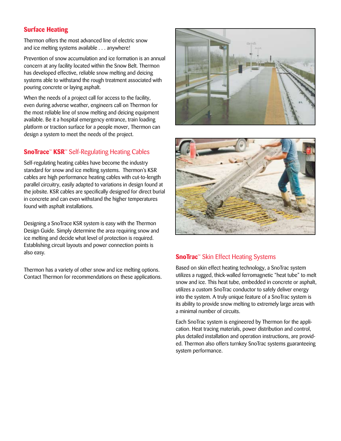#### **Surface Heating**

Thermon offers the most advanced line of electric snow and ice melting systems available . . . anywhere!

Prevention of snow accumulation and ice formation is an annual concern at any facility located within the Snow Belt. Thermon has developed effective, reliable snow melting and deicing systems able to withstand the rough treatment associated with pouring concrete or laying asphalt.

When the needs of a project call for access to the facility, even during adverse weather, engineers call on Thermon for the most reliable line of snow melting and deicing equipment available. Be it a hospital emergency entrance, train loading platform or traction surface for a people mover, Thermon can design a system to meet the needs of the project.

### **SnoTrace<sup>™</sup> KSR<sup>™</sup> Self-Regulating Heating Cables**

Self-regulating heating cables have become the industry standard for snow and ice melting systems. Thermon's KSR cables are high performance heating cables with cut-to-length parallel circuitry, easily adapted to variations in design found at the jobsite. KSR cables are specifically designed for direct burial in concrete and can even withstand the higher temperatures found with asphalt installations.

Designing a SnoTrace KSR system is easy with the Thermon Design Guide. Simply determine the area requiring snow and ice melting and decide what level of protection is required. Establishing circuit layouts and power connection points is also easy.

Thermon has a variety of other snow and ice melting options. Contact Thermon for recommendations on these applications.





#### **SnoTrac<sup>™</sup> Skin Effect Heating Systems**

Based on skin effect heating technology, a SnoTrac system utilizes a rugged, thick-walled ferromagnetic "heat tube" to melt snow and ice. This heat tube, embedded in concrete or asphalt, utilizes a custom SnoTrac conductor to safely deliver energy into the system. A truly unique feature of a SnoTrac system is its ability to provide snow melting to extremely large areas with a minimal number of circuits.

Each SnoTrac system is engineered by Thermon for the application. Heat tracing materials, power distribution and control, plus detailed installation and operation instructions, are provided. Thermon also offers turnkey SnoTrac systems guaranteeing system performance.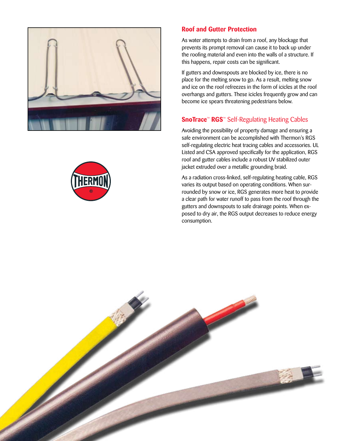

#### **Roof and Gutter Protection**

As water attempts to drain from a roof, any blockage that prevents its prompt removal can cause it to back up under the roofing material and even into the walls of a structure. If this happens, repair costs can be significant.

If gutters and downspouts are blocked by ice, there is no place for the melting snow to go. As a result, melting snow and ice on the roof refreezes in the form of icicles at the roof overhangs and gutters. These icicles frequently grow and can become ice spears threatening pedestrians below.

#### **SnoTrace<sup>™</sup> RGS<sup>™</sup> Self-Regulating Heating Cables**

Avoiding the possibility of property damage and ensuring a safe environment can be accomplished with Thermon's RGS self-regulating electric heat tracing cables and accessories. UL Listed and CSA approved specifically for the application, RGS roof and gutter cables include a robust UV stabilized outer jacket extruded over a metallic grounding braid.

As a radiation cross-linked, self-regulating heating cable, RGS varies its output based on operating conditions. When surrounded by snow or ice, RGS generates more heat to provide a clear path for water runoff to pass from the roof through the gutters and downspouts to safe drainage points. When exposed to dry air, the RGS output decreases to reduce energy consumption.